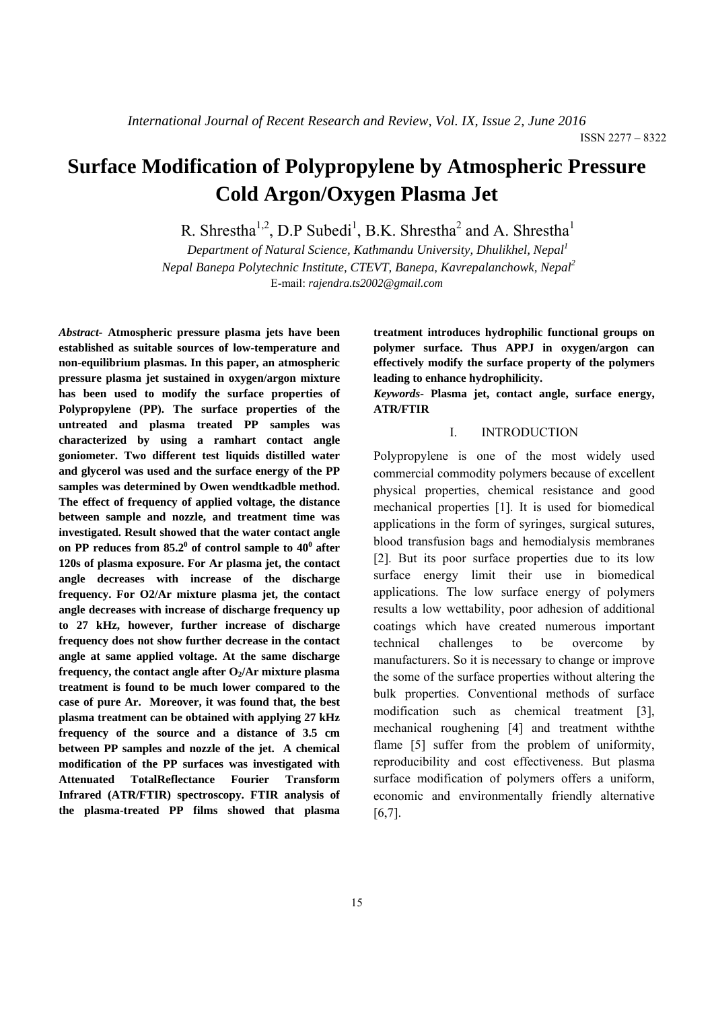# **Surface Modification of Polypropylene by Atmospheric Pressure Cold Argon/Oxygen Plasma Jet**

R. Shrestha<sup>1,2</sup>, D.P Subedi<sup>1</sup>, B.K. Shrestha<sup>2</sup> and A. Shrestha<sup>1</sup>

*Department of Natural Science, Kathmandu University, Dhulikhel, Nepal1 Nepal Banepa Polytechnic Institute, CTEVT, Banepa, Kavrepalanchowk, Nepal2*  E-mail: *rajendra.ts2002@gmail.com* 

*Abstract-* **Atmospheric pressure plasma jets have been established as suitable sources of low-temperature and non-equilibrium plasmas. In this paper, an atmospheric pressure plasma jet sustained in oxygen/argon mixture has been used to modify the surface properties of Polypropylene (PP). The surface properties of the untreated and plasma treated PP samples was characterized by using a ramhart contact angle goniometer. Two different test liquids distilled water and glycerol was used and the surface energy of the PP samples was determined by Owen wendtkadble method. The effect of frequency of applied voltage, the distance between sample and nozzle, and treatment time was investigated. Result showed that the water contact angle**  on PP reduces from  $85.2^{\circ}$  of control sample to  $40^{\circ}$  after **120s of plasma exposure. For Ar plasma jet, the contact angle decreases with increase of the discharge frequency. For O2/Ar mixture plasma jet, the contact angle decreases with increase of discharge frequency up to 27 kHz, however, further increase of discharge frequency does not show further decrease in the contact angle at same applied voltage. At the same discharge**  frequency, the contact angle after  $O_2/Ar$  mixture plasma **treatment is found to be much lower compared to the case of pure Ar. Moreover, it was found that, the best plasma treatment can be obtained with applying 27 kHz frequency of the source and a distance of 3.5 cm between PP samples and nozzle of the jet. A chemical modification of the PP surfaces was investigated with Attenuated TotalReflectance Fourier Transform Infrared (ATR/FTIR) spectroscopy. FTIR analysis of the plasma-treated PP films showed that plasma**  **treatment introduces hydrophilic functional groups on polymer surface. Thus APPJ in oxygen/argon can effectively modify the surface property of the polymers leading to enhance hydrophilicity.** 

*Keywords-* **Plasma jet, contact angle, surface energy, ATR/FTIR** 

## I. INTRODUCTION

Polypropylene is one of the most widely used commercial commodity polymers because of excellent physical properties, chemical resistance and good mechanical properties [1]. It is used for biomedical applications in the form of syringes, surgical sutures, blood transfusion bags and hemodialysis membranes [2]. But its poor surface properties due to its low surface energy limit their use in biomedical applications. The low surface energy of polymers results a low wettability, poor adhesion of additional coatings which have created numerous important technical challenges to be overcome by manufacturers. So it is necessary to change or improve the some of the surface properties without altering the bulk properties. Conventional methods of surface modification such as chemical treatment [3], mechanical roughening [4] and treatment withthe flame [5] suffer from the problem of uniformity, reproducibility and cost effectiveness. But plasma surface modification of polymers offers a uniform, economic and environmentally friendly alternative [6,7].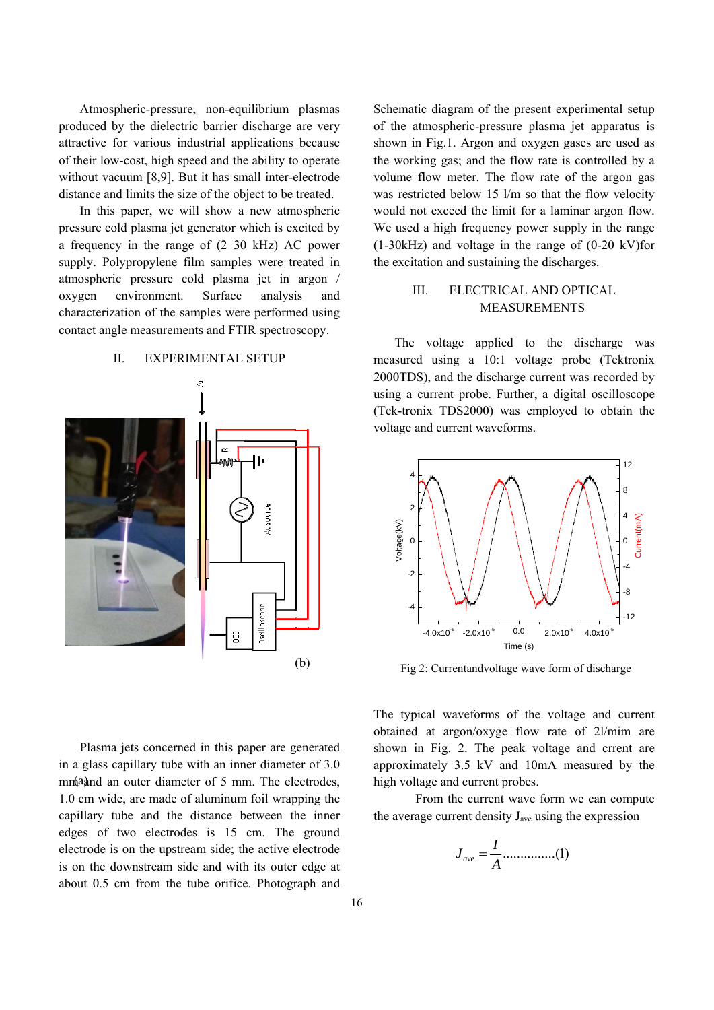Atmospheric-pressure, non-equilibrium plasmas produced by the dielectric barrier discharge are very attractive for various industrial applications because of their low-cost, high speed and the ability to operate without vacuum [8,9]. But it has small inter-electrode distance and limits the size of the object to be treated.

In this paper, we will show a new atmospheric pressure cold plasma jet generator which is excited by a frequency in the range of (2–30 kHz) AC power supply. Polypropylene film samples were treated in atmospheric pressure cold plasma jet in argon / oxygen environment. Surface analysis and characterization of the samples were performed using contact angle measurements and FTIR spectroscopy.

## II. EXPERIMENTAL SETUP



Plasma jets concerned in this paper are generated in a glass capillary tube with an inner diameter of 3.0 mm ad an outer diameter of 5 mm. The electrodes, 1.0 cm wide, are made of aluminum foil wrapping the capillary tube and the distance between the inner edges of two electrodes is 15 cm. The ground electrode is on the upstream side; the active electrode is on the downstream side and with its outer edge at about 0.5 cm from the tube orifice. Photograph and

Schematic diagram of the present experimental setup of the atmospheric-pressure plasma jet apparatus is shown in Fig.1. Argon and oxygen gases are used as the working gas; and the flow rate is controlled by a volume flow meter. The flow rate of the argon gas was restricted below 15 l/m so that the flow velocity would not exceed the limit for a laminar argon flow. We used a high frequency power supply in the range (1-30kHz) and voltage in the range of (0-20 kV)for the excitation and sustaining the discharges.

## III. ELECTRICAL AND OPTICAL MEASUREMENTS

The voltage applied to the discharge was measured using a 10:1 voltage probe (Tektronix 2000TDS), and the discharge current was recorded by using a current probe. Further, a digital oscilloscope (Tek-tronix TDS2000) was employed to obtain the voltage and current waveforms.



Fig 2: Currentandvoltage wave form of discharge

The typical waveforms of the voltage and current obtained at argon/oxyge flow rate of 2l/mim are shown in Fig. 2. The peak voltage and crrent are approximately 3.5 kV and 10mA measured by the high voltage and current probes.

From the current wave form we can compute the average current density  $J_{ave}$  using the expression

$$
J_{ave} = \frac{I}{A} \dots \dots \dots \dots \dots (1)
$$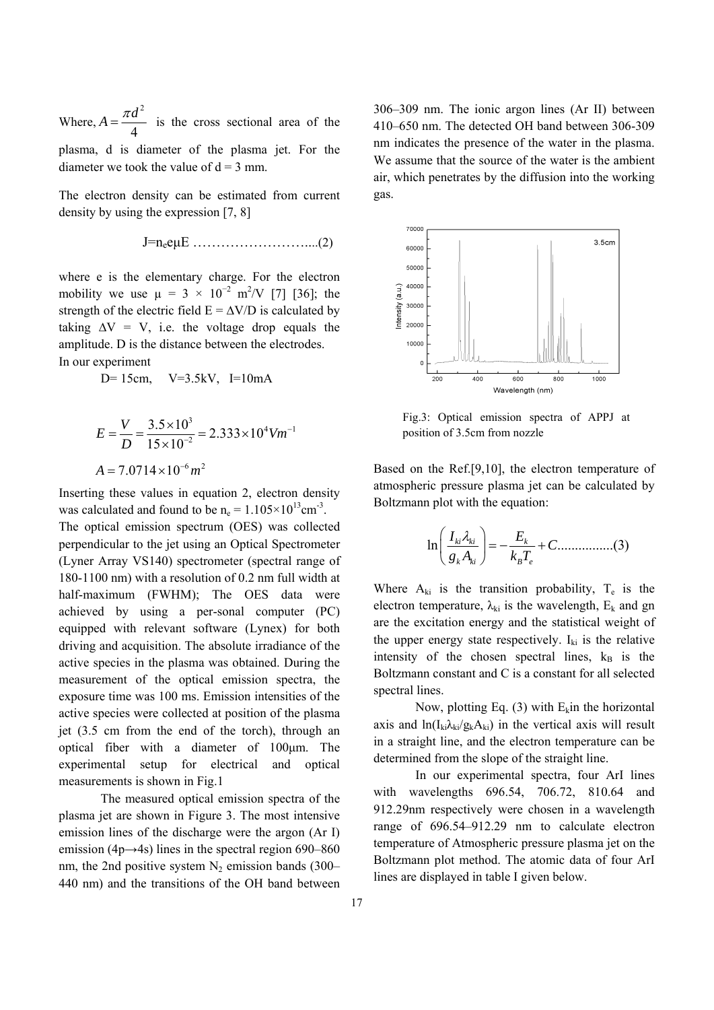Where, 2 4  $A = \frac{\pi d^2}{4}$  is the cross sectional area of the

plasma, d is diameter of the plasma jet. For the diameter we took the value of  $d = 3$  mm.

The electron density can be estimated from current density by using the expression [7, 8]

$$
J=n_{e}e\mu E \ldots \ldots \ldots \ldots \ldots \ldots \ldots (2)
$$

where e is the elementary charge. For the electron mobility we use  $\mu = 3 \times 10^{-2}$  m<sup>2</sup>/V [7] [36]; the strength of the electric field  $E = \Delta V/D$  is calculated by taking  $\Delta V = V$ , i.e. the voltage drop equals the amplitude. D is the distance between the electrodes. In our experiment

 $D= 15$ cm,  $V=3.5$ kV,  $I=10$ mA

$$
E = \frac{V}{D} = \frac{3.5 \times 10^3}{15 \times 10^{-2}} = 2.333 \times 10^4 V m^{-1}
$$
  
A = 7.0714 × 10<sup>-6</sup> m<sup>2</sup>

Inserting these values in equation 2, electron density was calculated and found to be  $n_e = 1.105 \times 10^{13}$ cm<sup>-3</sup>.

The optical emission spectrum (OES) was collected perpendicular to the jet using an Optical Spectrometer (Lyner Array VS140) spectrometer (spectral range of 180-1100 nm) with a resolution of 0.2 nm full width at half-maximum (FWHM); The OES data were achieved by using a per-sonal computer (PC) equipped with relevant software (Lynex) for both driving and acquisition. The absolute irradiance of the active species in the plasma was obtained. During the measurement of the optical emission spectra, the exposure time was 100 ms. Emission intensities of the active species were collected at position of the plasma jet (3.5 cm from the end of the torch), through an optical fiber with a diameter of 100μm. The experimental setup for electrical and optical measurements is shown in Fig.1

The measured optical emission spectra of the plasma jet are shown in Figure 3. The most intensive emission lines of the discharge were the argon (Ar I) emission (4p $\rightarrow$ 4s) lines in the spectral region 690–860 nm, the 2nd positive system  $N_2$  emission bands (300– 440 nm) and the transitions of the OH band between

306–309 nm. The ionic argon lines (Ar II) between 410–650 nm. The detected OH band between 306-309 nm indicates the presence of the water in the plasma. We assume that the source of the water is the ambient air, which penetrates by the diffusion into the working gas.



Fig.3: Optical emission spectra of APPJ at position of 3.5cm from nozzle

Based on the Ref.[9,10], the electron temperature of atmospheric pressure plasma jet can be calculated by Boltzmann plot with the equation:

ln ................(3) *ki ki k k ki B e I E <sup>C</sup> gA kT* ⎛ ⎞ <sup>λ</sup> ⎜ ⎟ =− + ⎝ ⎠

Where  $A_{ki}$  is the transition probability,  $T_e$  is the electron temperature,  $\lambda_{ki}$  is the wavelength,  $E_k$  and gn are the excitation energy and the statistical weight of the upper energy state respectively.  $I_{ki}$  is the relative intensity of the chosen spectral lines,  $k_B$  is the Boltzmann constant and C is a constant for all selected spectral lines.

Now, plotting Eq. (3) with  $E_k$  in the horizontal axis and  $ln(I_{ki}\lambda_{ki}/g_kA_{ki})$  in the vertical axis will result in a straight line, and the electron temperature can be determined from the slope of the straight line.

In our experimental spectra, four ArI lines with wavelengths 696.54, 706.72, 810.64 and 912.29nm respectively were chosen in a wavelength range of 696.54–912.29 nm to calculate electron temperature of Atmospheric pressure plasma jet on the Boltzmann plot method. The atomic data of four ArI lines are displayed in table I given below.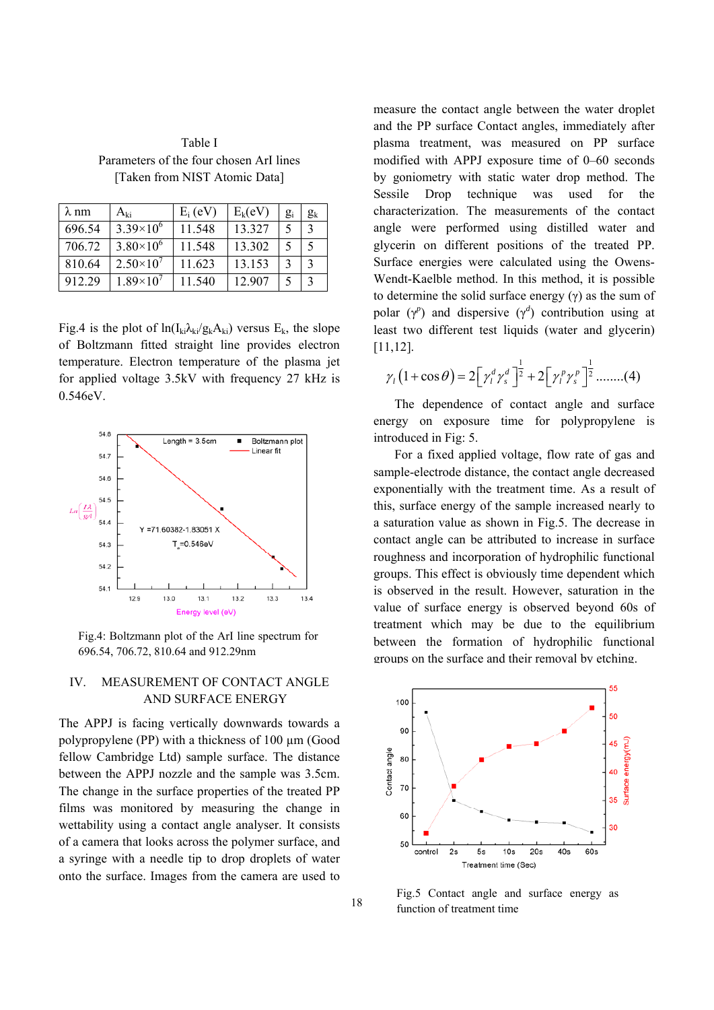Table I Parameters of the four chosen ArI lines [Taken from NIST Atomic Data]

| $\lambda$ nm | Ari                | $E_i$ (eV) | $E_k(eV)$ | $g_i$ | $g_k$        |
|--------------|--------------------|------------|-----------|-------|--------------|
| 696.54       | $3.39\times10^{6}$ | 11.548     | 13.327    | 5     | 3            |
| 706 72       | $3.80\times10^{6}$ | 11.548     | 13.302    | 5     | $\varsigma$  |
| 810.64       | $2.50\times10^{7}$ | 11.623     | 13.153    | 3     | $\mathbf{3}$ |
| 912 29       | $1.89\times10^{7}$ | 11.540     | 12 907    | 5     | 3            |

Fig.4 is the plot of  $\ln(I_{ki}\lambda_{ki}/g_kA_{ki})$  versus  $E_k$ , the slope of Boltzmann fitted straight line provides electron temperature. Electron temperature of the plasma jet for applied voltage 3.5kV with frequency 27 kHz is 0.546eV.



Fig.4: Boltzmann plot of the ArI line spectrum for 696.54, 706.72, 810.64 and 912.29nm

# IV. MEASUREMENT OF CONTACT ANGLE AND SURFACE ENERGY

The APPJ is facing vertically downwards towards a polypropylene (PP) with a thickness of 100 µm (Good fellow Cambridge Ltd) sample surface. The distance between the APPJ nozzle and the sample was 3.5cm. The change in the surface properties of the treated PP films was monitored by measuring the change in wettability using a contact angle analyser. It consists of a camera that looks across the polymer surface, and a syringe with a needle tip to drop droplets of water onto the surface. Images from the camera are used to measure the contact angle between the water droplet and the PP surface Contact angles, immediately after plasma treatment, was measured on PP surface modified with APPJ exposure time of 0–60 seconds by goniometry with static water drop method. The Sessile Drop technique was used for the characterization. The measurements of the contact angle were performed using distilled water and glycerin on different positions of the treated PP. Surface energies were calculated using the Owens-Wendt-Kaelble method. In this method, it is possible to determine the solid surface energy  $(y)$  as the sum of polar  $(\gamma^p)$  and dispersive  $(\gamma^d)$  contribution using at least two different test liquids (water and glycerin) [11,12].

$$
\gamma_{l}\left(1+\cos\theta\right)=2\left[\gamma_{l}^{d}\gamma_{s}^{d}\right]^{\frac{1}{2}}+2\left[\gamma_{l}^{p}\gamma_{s}^{p}\right]^{\frac{1}{2}}\dots\dots\dots(4)
$$

The dependence of contact angle and surface energy on exposure time for polypropylene is introduced in Fig: 5.

For a fixed applied voltage, flow rate of gas and sample-electrode distance, the contact angle decreased exponentially with the treatment time. As a result of this, surface energy of the sample increased nearly to a saturation value as shown in Fig.5. The decrease in contact angle can be attributed to increase in surface roughness and incorporation of hydrophilic functional groups. This effect is obviously time dependent which is observed in the result. However, saturation in the value of surface energy is observed beyond 60s of treatment which may be due to the equilibrium between the formation of hydrophilic functional groups on the surface and their removal by etching.



Fig.5 Contact angle and surface energy as function of treatment time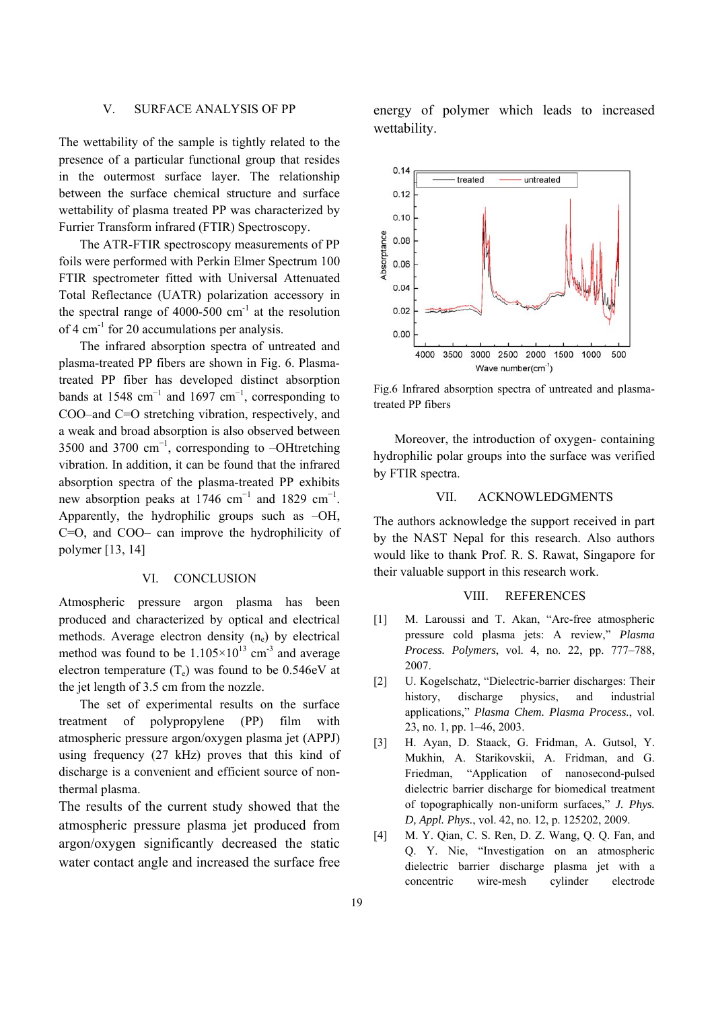## V. SURFACE ANALYSIS OF PP

The wettability of the sample is tightly related to the presence of a particular functional group that resides in the outermost surface layer. The relationship between the surface chemical structure and surface wettability of plasma treated PP was characterized by Furrier Transform infrared (FTIR) Spectroscopy.

The ATR-FTIR spectroscopy measurements of PP foils were performed with Perkin Elmer Spectrum 100 FTIR spectrometer fitted with Universal Attenuated Total Reflectance (UATR) polarization accessory in the spectral range of 4000-500  $\text{cm}^{-1}$  at the resolution of 4 cm<sup>-1</sup> for 20 accumulations per analysis.

The infrared absorption spectra of untreated and plasma-treated PP fibers are shown in Fig. 6. Plasmatreated PP fiber has developed distinct absorption bands at 1548 cm<sup>-1</sup> and 1697 cm<sup>-1</sup>, corresponding to COO–and C=O stretching vibration, respectively, and a weak and broad absorption is also observed between 3500 and 3700 cm<sup>-1</sup>, corresponding to -OHtretching vibration. In addition, it can be found that the infrared absorption spectra of the plasma-treated PP exhibits new absorption peaks at 1746 cm<sup>-1</sup> and 1829 cm<sup>-1</sup>. Apparently, the hydrophilic groups such as –OH, C=O, and COO– can improve the hydrophilicity of polymer [13, 14]

#### VI. CONCLUSION

Atmospheric pressure argon plasma has been produced and characterized by optical and electrical methods. Average electron density  $(n_e)$  by electrical method was found to be  $1.105 \times 10^{13}$  cm<sup>-3</sup> and average electron temperature  $(T_e)$  was found to be 0.546eV at the jet length of 3.5 cm from the nozzle.

The set of experimental results on the surface treatment of polypropylene (PP) film with atmospheric pressure argon/oxygen plasma jet (APPJ) using frequency (27 kHz) proves that this kind of discharge is a convenient and efficient source of nonthermal plasma.

The results of the current study showed that the atmospheric pressure plasma jet produced from argon/oxygen significantly decreased the static water contact angle and increased the surface free energy of polymer which leads to increased wettability.



Fig.6 Infrared absorption spectra of untreated and plasmatreated PP fibers

Moreover, the introduction of oxygen- containing hydrophilic polar groups into the surface was verified by FTIR spectra.

## VII. ACKNOWLEDGMENTS

The authors acknowledge the support received in part by the NAST Nepal for this research. Also authors would like to thank Prof. R. S. Rawat, Singapore for their valuable support in this research work.

### VIII. REFERENCES

- [1] M. Laroussi and T. Akan, "Arc-free atmospheric pressure cold plasma jets: A review," *Plasma Process. Polymers*, vol. 4, no. 22, pp. 777–788, 2007.
- [2] U. Kogelschatz, "Dielectric-barrier discharges: Their history, discharge physics, and industrial applications," *Plasma Chem. Plasma Process.*, vol. 23, no. 1, pp. 1–46, 2003.
- [3] H. Ayan, D. Staack, G. Fridman, A. Gutsol, Y. Mukhin, A. Starikovskii, A. Fridman, and G. Friedman, "Application of nanosecond-pulsed dielectric barrier discharge for biomedical treatment of topographically non-uniform surfaces," *J. Phys. D, Appl. Phys.*, vol. 42, no. 12, p. 125202, 2009.
- [4] M. Y. Qian, C. S. Ren, D. Z. Wang, Q. Q. Fan, and Q. Y. Nie, "Investigation on an atmospheric dielectric barrier discharge plasma jet with a concentric wire-mesh cylinder electrode